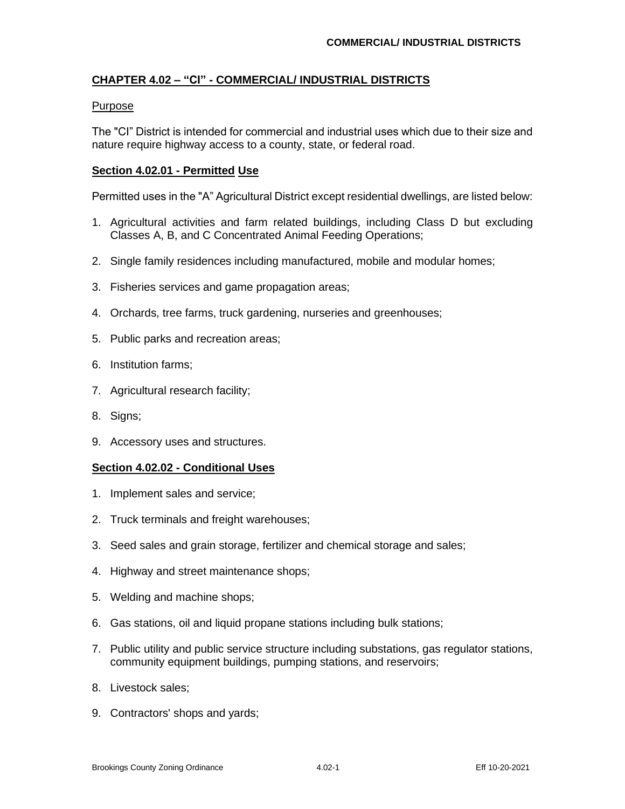# **CHAPTER 4.02 – "CI" - COMMERCIAL/ INDUSTRIAL DISTRICTS**

## Purpose

The "CI" District is intended for commercial and industrial uses which due to their size and nature require highway access to a county, state, or federal road.

### **Section 4.02.01 - Permitted Use**

Permitted uses in the "A" Agricultural District except residential dwellings, are listed below:

- 1. Agricultural activities and farm related buildings, including Class D but excluding Classes A, B, and C Concentrated Animal Feeding Operations;
- 2. Single family residences including manufactured, mobile and modular homes;
- 3. Fisheries services and game propagation areas;
- 4. Orchards, tree farms, truck gardening, nurseries and greenhouses;
- 5. Public parks and recreation areas;
- 6. Institution farms;
- 7. Agricultural research facility;
- 8. Signs;
- 9. Accessory uses and structures.

#### **Section 4.02.02 - Conditional Uses**

- 1. Implement sales and service;
- 2. Truck terminals and freight warehouses;
- 3. Seed sales and grain storage, fertilizer and chemical storage and sales;
- 4. Highway and street maintenance shops;
- 5. Welding and machine shops;
- 6. Gas stations, oil and liquid propane stations including bulk stations;
- 7. Public utility and public service structure including substations, gas regulator stations, community equipment buildings, pumping stations, and reservoirs;
- 8. Livestock sales;
- 9. Contractors' shops and yards;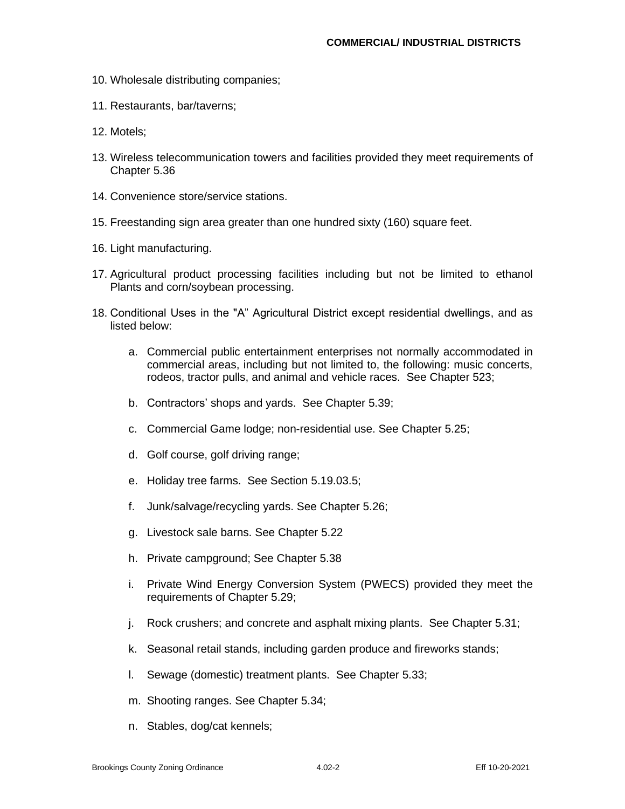- 10. Wholesale distributing companies;
- 11. Restaurants, bar/taverns;
- 12. Motels;
- 13. Wireless telecommunication towers and facilities provided they meet requirements of Chapter 5.36
- 14. Convenience store/service stations.
- 15. Freestanding sign area greater than one hundred sixty (160) square feet.
- 16. Light manufacturing.
- 17. Agricultural product processing facilities including but not be limited to ethanol Plants and corn/soybean processing.
- 18. Conditional Uses in the "A" Agricultural District except residential dwellings, and as listed below:
	- a. Commercial public entertainment enterprises not normally accommodated in commercial areas, including but not limited to, the following: music concerts, rodeos, tractor pulls, and animal and vehicle races. See Chapter 523;
	- b. Contractors' shops and yards. See Chapter 5.39;
	- c. Commercial Game lodge; non-residential use. See Chapter 5.25;
	- d. Golf course, golf driving range;
	- e. Holiday tree farms. See Section 5.19.03.5;
	- f. Junk/salvage/recycling yards. See Chapter 5.26;
	- g. Livestock sale barns. See Chapter 5.22
	- h. Private campground; See Chapter 5.38
	- i. Private Wind Energy Conversion System (PWECS) provided they meet the requirements of Chapter 5.29;
	- j. Rock crushers; and concrete and asphalt mixing plants. See Chapter 5.31;
	- k. Seasonal retail stands, including garden produce and fireworks stands;
	- l. Sewage (domestic) treatment plants. See Chapter 5.33;
	- m. Shooting ranges. See Chapter 5.34;
	- n. Stables, dog/cat kennels;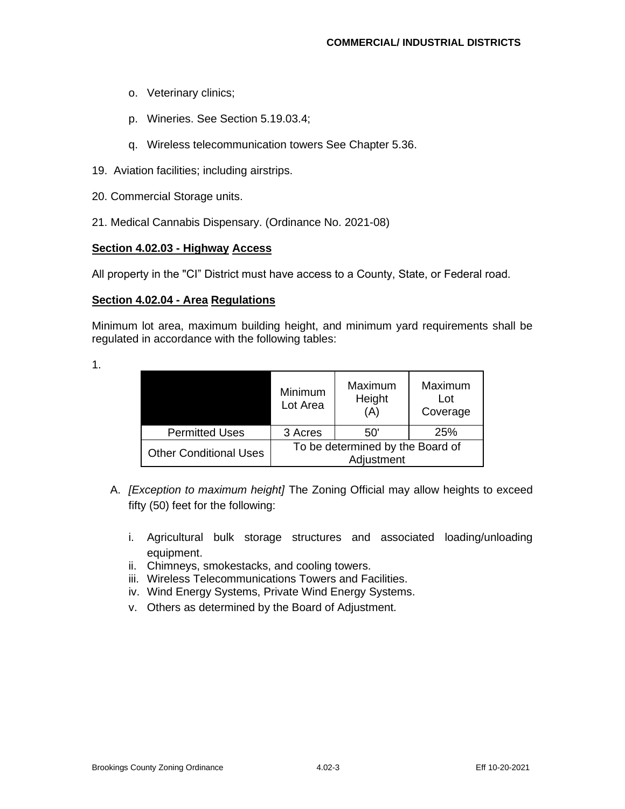- o. Veterinary clinics;
- p. Wineries. See Section 5.19.03.4;
- q. Wireless telecommunication towers See Chapter 5.36.
- 19. Aviation facilities; including airstrips.
- 20. Commercial Storage units.
- 21. Medical Cannabis Dispensary. (Ordinance No. 2021-08)

## **Section 4.02.03 - Highway Access**

All property in the "CI" District must have access to a County, State, or Federal road.

## **Section 4.02.04 - Area Regulations**

Minimum lot area, maximum building height, and minimum yard requirements shall be regulated in accordance with the following tables:

1.

|                               | Minimum<br>Lot Area                            | Maximum<br>Height<br>(A) | Maximum<br>Lot<br>Coverage |  |  |
|-------------------------------|------------------------------------------------|--------------------------|----------------------------|--|--|
| <b>Permitted Uses</b>         | 3 Acres                                        | 50'                      | 25%                        |  |  |
| <b>Other Conditional Uses</b> | To be determined by the Board of<br>Adjustment |                          |                            |  |  |

- A. *[Exception to maximum height]* The Zoning Official may allow heights to exceed fifty (50) feet for the following:
	- i. Agricultural bulk storage structures and associated loading/unloading equipment.
	- ii. Chimneys, smokestacks, and cooling towers.
	- iii. Wireless Telecommunications Towers and Facilities.
	- iv. Wind Energy Systems, Private Wind Energy Systems.
	- v. Others as determined by the Board of Adjustment.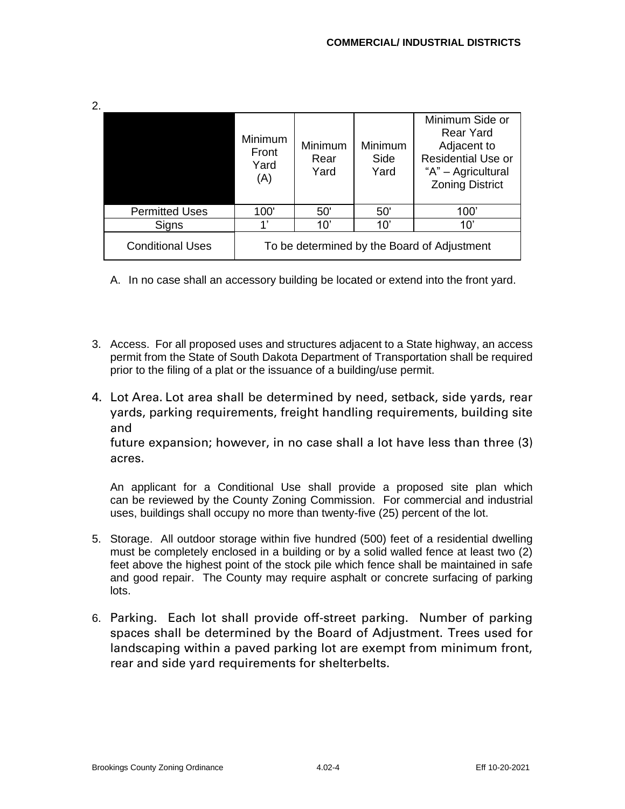| 2. |                         |                                             |                                |                         |                                                                                                                                 |  |
|----|-------------------------|---------------------------------------------|--------------------------------|-------------------------|---------------------------------------------------------------------------------------------------------------------------------|--|
|    |                         | Minimum<br>Front<br>Yard<br>(A)             | <b>Minimum</b><br>Rear<br>Yard | Minimum<br>Side<br>Yard | Minimum Side or<br><b>Rear Yard</b><br>Adjacent to<br><b>Residential Use or</b><br>"A" - Agricultural<br><b>Zoning District</b> |  |
|    | <b>Permitted Uses</b>   | 100'                                        | 50'                            | 50'                     | 100'                                                                                                                            |  |
|    | Signs                   | 4,                                          | 10'                            | 10'                     | 10'                                                                                                                             |  |
|    | <b>Conditional Uses</b> | To be determined by the Board of Adjustment |                                |                         |                                                                                                                                 |  |

A. In no case shall an accessory building be located or extend into the front yard.

- 3. Access. For all proposed uses and structures adjacent to a State highway, an access permit from the State of South Dakota Department of Transportation shall be required prior to the filing of a plat or the issuance of a building/use permit.
- 4. Lot Area. Lot area shall be determined by need, setback, side yards, rear yards, parking requirements, freight handling requirements, building site and

future expansion; however, in no case shall a lot have less than three (3) acres.

An applicant for a Conditional Use shall provide a proposed site plan which can be reviewed by the County Zoning Commission. For commercial and industrial uses, buildings shall occupy no more than twenty-five (25) percent of the lot.

- 5. Storage. All outdoor storage within five hundred (500) feet of a residential dwelling must be completely enclosed in a building or by a solid walled fence at least two (2) feet above the highest point of the stock pile which fence shall be maintained in safe and good repair. The County may require asphalt or concrete surfacing of parking lots.
- 6. Parking. Each lot shall provide off-street parking. Number of parking spaces shall be determined by the Board of Adjustment. Trees used for landscaping within a paved parking lot are exempt from minimum front, rear and side yard requirements for shelterbelts.